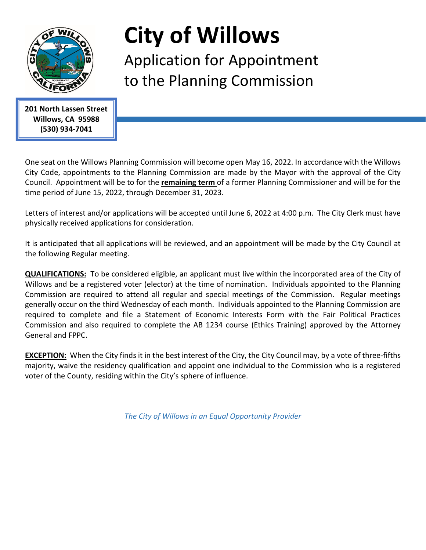

## **City of Willows**

Application for Appointment to the Planning Commission

 **201 North Lassen Street Willows, CA 95988 (530) 934-7041**

One seat on the Willows Planning Commission will become open May 16, 2022. In accordance with the Willows City Code, appointments to the Planning Commission are made by the Mayor with the approval of the City Council. Appointment will be to for the **remaining term** of a former Planning Commissioner and will be for the time period of June 15, 2022, through December 31, 2023.

Letters of interest and/or applications will be accepted until June 6, 2022 at 4:00 p.m. The City Clerk must have physically received applications for consideration.

It is anticipated that all applications will be reviewed, and an appointment will be made by the City Council at the following Regular meeting.

**QUALIFICATIONS:** To be considered eligible, an applicant must live within the incorporated area of the City of Willows and be a registered voter (elector) at the time of nomination. Individuals appointed to the Planning Commission are required to attend all regular and special meetings of the Commission. Regular meetings generally occur on the third Wednesday of each month. Individuals appointed to the Planning Commission are required to complete and file a Statement of Economic Interests Form with the Fair Political Practices Commission and also required to complete the AB 1234 course (Ethics Training) approved by the Attorney General and FPPC.

**EXCEPTION:** When the City finds it in the best interest of the City, the City Council may, by a vote of three-fifths majority, waive the residency qualification and appoint one individual to the Commission who is a registered voter of the County, residing within the City's sphere of influence.

*The City of Willows in an Equal Opportunity Provider*